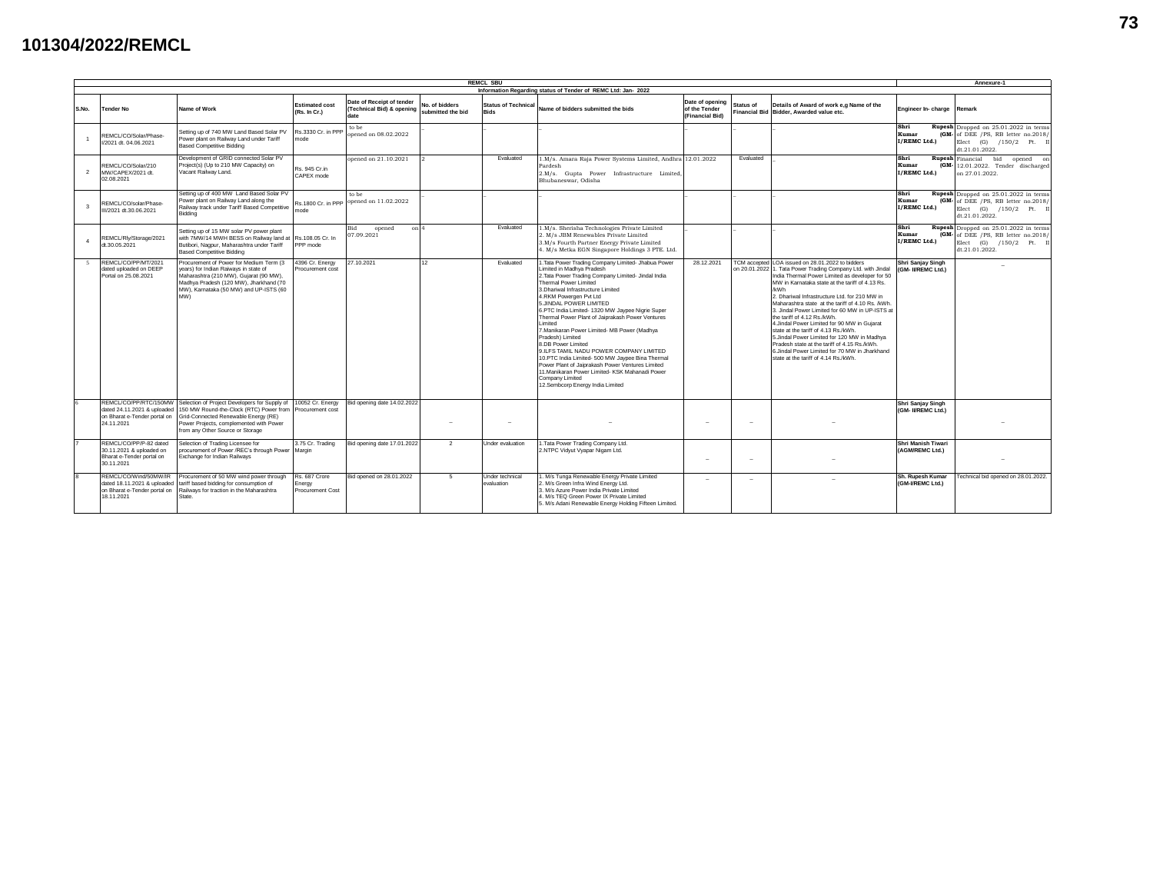## **101304/2022/REMCL**

| <b>REMCL SBU</b><br>Annexure-1                                |                                                                                                    |                                                                                                                                                                                                                                                   |                                             |                                                                |                                     |                                           |                                                                                                                                                                                                                                                                                                                                                                                                                                                                                                                                                                                                                                                                                                                                     |                                                     |                                                                                                                                                                                                                                                                                                                                                                                                                                                                                                                                                                                                                                                                                                        |                                              |                                                                                                                           |
|---------------------------------------------------------------|----------------------------------------------------------------------------------------------------|---------------------------------------------------------------------------------------------------------------------------------------------------------------------------------------------------------------------------------------------------|---------------------------------------------|----------------------------------------------------------------|-------------------------------------|-------------------------------------------|-------------------------------------------------------------------------------------------------------------------------------------------------------------------------------------------------------------------------------------------------------------------------------------------------------------------------------------------------------------------------------------------------------------------------------------------------------------------------------------------------------------------------------------------------------------------------------------------------------------------------------------------------------------------------------------------------------------------------------------|-----------------------------------------------------|--------------------------------------------------------------------------------------------------------------------------------------------------------------------------------------------------------------------------------------------------------------------------------------------------------------------------------------------------------------------------------------------------------------------------------------------------------------------------------------------------------------------------------------------------------------------------------------------------------------------------------------------------------------------------------------------------------|----------------------------------------------|---------------------------------------------------------------------------------------------------------------------------|
| Information Regarding status of Tender of REMC Ltd: Jan- 2022 |                                                                                                    |                                                                                                                                                                                                                                                   |                                             |                                                                |                                     |                                           |                                                                                                                                                                                                                                                                                                                                                                                                                                                                                                                                                                                                                                                                                                                                     |                                                     |                                                                                                                                                                                                                                                                                                                                                                                                                                                                                                                                                                                                                                                                                                        |                                              |                                                                                                                           |
| S.No.                                                         | <b>Tender No</b>                                                                                   | Name of Work                                                                                                                                                                                                                                      | <b>Estimated cost</b><br>(Rs. In Cr.)       | Date of Receipt of tender<br>(Technical Bid) & opening<br>date | No. of bidders<br>submitted the bid | <b>Status of Technical</b><br><b>Bids</b> | Name of bidders submitted the bids                                                                                                                                                                                                                                                                                                                                                                                                                                                                                                                                                                                                                                                                                                  | Date of opening<br>of the Tender<br>(Financial Bid) | Details of Award of work e.g Name of the<br>Status of<br>Financial Bid Bidder, Awarded value etc.                                                                                                                                                                                                                                                                                                                                                                                                                                                                                                                                                                                                      | Engineer In-charge                           | Remark                                                                                                                    |
|                                                               | REMCL/CO/Solar/Phase-<br>I/2021 dt. 04.06.2021                                                     | Setting up of 740 MW Land Based Solar PV<br>Power plant on Railway Land under Tariff<br>Based Competitive Bidding                                                                                                                                 | Rs.3330 Cr. in PPF<br>mode                  | to be<br>opened on 08.02.2022                                  |                                     |                                           |                                                                                                                                                                                                                                                                                                                                                                                                                                                                                                                                                                                                                                                                                                                                     |                                                     |                                                                                                                                                                                                                                                                                                                                                                                                                                                                                                                                                                                                                                                                                                        | Shri<br><b>Kumar</b><br>I/REMC Ltd.          | Rupesh Dropped on 25.01.2022 in terms<br>$(GM - of DEE$ /PS, RB letter no.2018/<br>Elect (G) /150/2 Pt.<br>dt.21.01.2022. |
| $\mathcal{P}$                                                 | REMCL/CO/Solar/210<br>MW/CAPEX/2021 dt.<br>02.08.2021                                              | Development of GRID connected Solar PV<br>Project(s) (Up to 210 MW Capacity) on<br>Vacant Railway Land.                                                                                                                                           | Rs. 945 Cr.in<br>CAPEX mode                 | opened on 21.10.2021                                           |                                     | Evaluated                                 | 1.M/s. Amara Raia Power Systems Limited. Andhra 12.01.2022<br>Pardesh<br>2.M/s. Gupta Power Infrastructure Limited,<br>Bhubaneswar, Odisha                                                                                                                                                                                                                                                                                                                                                                                                                                                                                                                                                                                          |                                                     | Evaluated                                                                                                                                                                                                                                                                                                                                                                                                                                                                                                                                                                                                                                                                                              | Shri<br><b>Kumar</b><br>(GM-<br>I/REMC Ltd.) | <b>Rupesh</b> Financial<br>bid<br>opened on<br>12.01.2022. Tender discharged<br>on 27.01.2022.                            |
| $\overline{\mathbf{z}}$                                       | REMCL/CO/solar/Phase<br>II/2021 dt.30.06.2021                                                      | Setting up of 400 MW Land Based Solar PV<br>Power plant on Railway Land along the<br>Railway track under Tariff Based Competitive<br>Bidding                                                                                                      | node                                        | to be<br>Rs.1800 Cr. in PPP opened on 11.02.2022               |                                     |                                           |                                                                                                                                                                                                                                                                                                                                                                                                                                                                                                                                                                                                                                                                                                                                     |                                                     |                                                                                                                                                                                                                                                                                                                                                                                                                                                                                                                                                                                                                                                                                                        | Shri<br><b>Kumar</b><br>I/REMC Ltd.)         | Rupesh Dropped on 25.01.2022 in terms<br>(GM- of DEE /PS, RB letter no.2018/<br>Elect (G) /150/2 Pt. II<br>dt.21.01.2022. |
|                                                               | REMCL/Rlv/Storage/2021<br>dt.30.05.2021                                                            | Setting up of 15 MW solar PV power plant<br>with 7MW/14 MWH BESS on Railway land at Rs.108.05 Cr. In<br>Butibori, Nagpur, Maharashtra under Tariff<br>Based Competitive Bidding                                                                   | PPP mode                                    | Bid<br>opened<br>on 4<br>07.09.2021                            |                                     | Evaluated                                 | 1.M/s. Sherisha Technologies Private Limited<br>2. M/s JBM Renewables Private Limited<br>3.M/s Fourth Partner Energy Private Limited<br>4. M/s Metka EGN Singapore Holdings 3 PTE. Ltd.                                                                                                                                                                                                                                                                                                                                                                                                                                                                                                                                             |                                                     |                                                                                                                                                                                                                                                                                                                                                                                                                                                                                                                                                                                                                                                                                                        | Shri<br><b>Kumar</b><br>I/REMC Ltd.)         | Rupesh Dropped on 25.01.2022 in terms<br>(GM- of DEE /PS, RB letter no.2018/<br>Elect (G) /150/2 Pt.<br>dt.21.01.2022.    |
| $\sim$                                                        | REMCL/CO/PP/MT/2021<br>dated uploaded on DEEP<br>Portal on 25.08.2021                              | Procurement of Power for Medium Term (3<br>vears) for Indian Raiways in state of<br>Maharashtra (210 MW), Gujarat (90 MW),<br>Madhya Pradesh (120 MW), Jharkhand (70<br>MW), Karnataka (50 MW) and UP-ISTS (60<br>MW)                             | 4396 Cr. Energy<br>Procurement cost         | 27.10.2021                                                     | 12                                  | Fvaluated                                 | 1. Tata Power Trading Company Limited- Jhabua Power<br>Limited in Madhya Pradesh<br>2. Tata Power Trading Company Limited- Jindal India<br>Thermal Power Limited<br>3.Dhariwal Infrastructure Limited<br>4.RKM Powergen Pvt Ltd<br>5.JINDAL POWER LIMITED<br>6.PTC India Limited- 1320 MW Javoee Nigrie Super<br>Thermal Power Plant of Jaiorakash Power Ventures<br>I imited<br>7.Manikaran Power Limited- MB Power (Madhya<br>Pradesh) Limited<br>8.DB Power Limited<br>9.ILFS TAMIL NADU POWER COMPANY LIMITED<br>10.PTC India Limited- 500 MW Jaypee Bina Thermal<br>Power Plant of Jaiorakash Power Ventures Limited<br>11. Manikaran Power Limited- KSK Mahanadi Power<br>Company Limited<br>12.Sembcorp Energy India Limited | 28.12.2021                                          | TCM accepted LOA issued on 28.01.2022 to bidders<br>on 20.01.2022 1. Tata Power Trading Company Ltd. with Jindal<br>India Thermal Power Limited as developer for 50<br>MW in Karnataka state at the tariff of 4.13 Rs.<br>/kWh<br>2. Dhariwal Infrastructure Ltd. for 210 MW in<br>Maharashtra state at the tariff of 4.10 Rs. /kWh.<br>3. Jindal Power Limited for 60 MW in UP-ISTS at<br>the tariff of 4.12 Rs./kWh.<br>4.Jindal Power Limited for 90 MW in Guiarat<br>state at the tariff of 4.13 Rs./kWh.<br>5.Jindal Power Limited for 120 MW in Madhya<br>Pradesh state at the tariff of 4.15 Rs./kWh.<br>6. Jindal Power Limited for 70 MW in Jharkhand<br>state at the tariff of 4.14 Rs./kWh. | Shri Saniav Singh<br>(GM- IVREMC Ltd.)       |                                                                                                                           |
|                                                               | REMCL/CO/PP/RTC/150MW<br>dated 24.11.2021 & uploaded<br>on Bharat e-Tender portal on<br>24.11.2021 | Selection of Project Developers for Supply of 10052 Cr. Energy<br>150 MW Round-the-Clock (RTC) Power from Procurement cost<br>Grid-Connected Renewable Energy (RE)<br>Power Projects, complemented with Power<br>from any Other Source or Storage |                                             | Bid opening date 14.02.2022                                    | -                                   | $\sim$                                    |                                                                                                                                                                                                                                                                                                                                                                                                                                                                                                                                                                                                                                                                                                                                     | $\sim$                                              |                                                                                                                                                                                                                                                                                                                                                                                                                                                                                                                                                                                                                                                                                                        | Shri Sanjay Singh<br>(GM- IVREMC Ltd.)       |                                                                                                                           |
|                                                               | REMCL/CO/PP/P-82 dated<br>30.11.2021 & uploaded on<br>Bharat e-Tender portal on<br>30.11.2021      | Selection of Trading Licensee for<br>procurement of Power /REC's through Power Margin<br>Exchange for Indian Railways                                                                                                                             | 3.75 Cr. Trading                            | Bid opening date 17.01.2022                                    | $\overline{2}$                      | Under evaluation                          | 1. Tata Power Trading Company Ltd.<br>2.NTPC Vidyut Vyapar Nigam Ltd.                                                                                                                                                                                                                                                                                                                                                                                                                                                                                                                                                                                                                                                               | $\sim$                                              |                                                                                                                                                                                                                                                                                                                                                                                                                                                                                                                                                                                                                                                                                                        | Shri Manish Tiwari<br>(AGM/REMC Ltd.)        |                                                                                                                           |
|                                                               | REMCL/CO/Wind/50MW/IR<br>dated 18.11.2021 & uploaded<br>on Bharat e-Tender portal on<br>18.11.2021 | Procurement of 50 MW wind power through<br>tariff based bidding for consumption of<br>Railways for traction in the Maharashtra<br>State.                                                                                                          | Rs. 687 Crore<br>Energy<br>Procurement Cost | Bid opened on 28.01.2022                                       | $5^{\circ}$                         | Under technical<br>evaluation             | 1. M/s Tunga Renewable Energy Private Limited<br>2. M/s Green Infra Wind Energy Ltd.<br>3. M/s Azure Power India Private Limited<br>4. M/s TEQ Green Power IX Private Limited<br>5. M/s Adani Renewable Energy Holding Fifteen Limited.                                                                                                                                                                                                                                                                                                                                                                                                                                                                                             |                                                     |                                                                                                                                                                                                                                                                                                                                                                                                                                                                                                                                                                                                                                                                                                        | Sh. Rupesh Kumar<br>(GM-VREMC Ltd.)          | echnical bid opened on 28.01.2022.                                                                                        |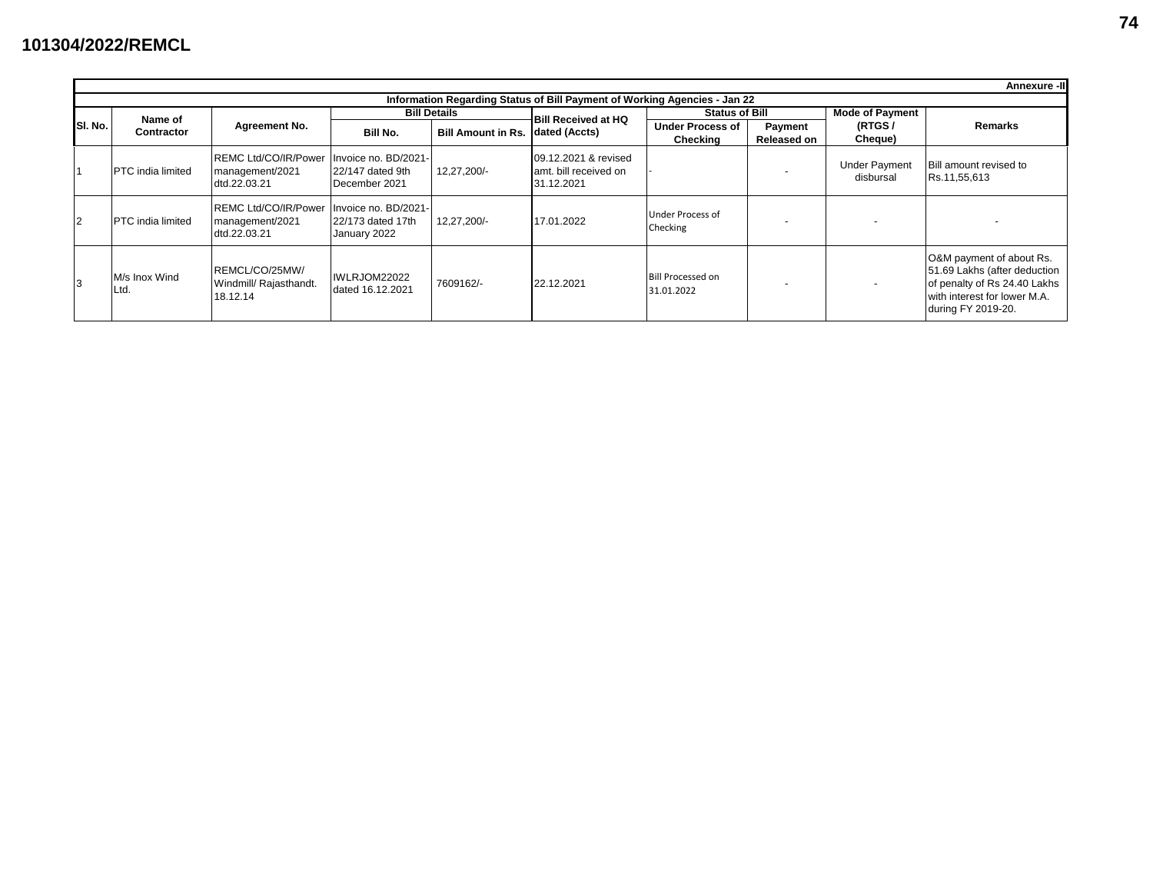|                                                                           |                          |                                                                |                                                           |                           |                                                             |                                        |                        |                                   | Annexure -II                                                                                                                                   |  |  |  |
|---------------------------------------------------------------------------|--------------------------|----------------------------------------------------------------|-----------------------------------------------------------|---------------------------|-------------------------------------------------------------|----------------------------------------|------------------------|-----------------------------------|------------------------------------------------------------------------------------------------------------------------------------------------|--|--|--|
| Information Regarding Status of Bill Payment of Working Agencies - Jan 22 |                          |                                                                |                                                           |                           |                                                             |                                        |                        |                                   |                                                                                                                                                |  |  |  |
| SI. No.                                                                   | Name of<br>Contractor    |                                                                |                                                           | <b>Bill Details</b>       | <b>Bill Received at HQ</b>                                  | <b>Status of Bill</b>                  |                        | <b>Mode of Payment</b>            | <b>Remarks</b>                                                                                                                                 |  |  |  |
|                                                                           |                          | <b>Agreement No.</b>                                           | Bill No.                                                  | <b>Bill Amount in Rs.</b> | dated (Accts)                                               | <b>Under Process of</b><br>Checking    | Payment<br>Released on | (RTGS/<br>Cheque)                 |                                                                                                                                                |  |  |  |
| 11                                                                        | <b>PTC</b> india limited | <b>REMC Ltd/CO/IR/Power</b><br>management/2021<br>dtd.22.03.21 | Invoice no. BD/2021-<br>22/147 dated 9th<br>December 2021 | 12.27.200/-               | 09.12.2021 & revised<br>amt. bill received on<br>31.12.2021 |                                        |                        | <b>Under Payment</b><br>disbursal | <b>Bill amount revised to</b><br>Rs.11,55,613                                                                                                  |  |  |  |
| 12                                                                        | <b>PTC</b> india limited | REMC Ltd/CO/IR/Power<br>management/2021<br>dtd.22.03.21        | Invoice no. BD/2021-<br>22/173 dated 17th<br>January 2022 | 12,27,200/-               | 17.01.2022                                                  | Under Process of<br>Checking           |                        | $\overline{\phantom{a}}$          |                                                                                                                                                |  |  |  |
| 3                                                                         | M/s Inox Wind<br>_td.    | REMCL/CO/25MW/<br>Windmill/ Rajasthandt.<br>18.12.14           | IWLRJOM22022<br>dated 16.12.2021                          | 7609162/-                 | 22.12.2021                                                  | <b>Bill Processed on</b><br>31.01.2022 |                        | $\overline{\phantom{a}}$          | O&M payment of about Rs.<br>51.69 Lakhs (after deduction<br>of penalty of Rs 24.40 Lakhs<br>with interest for lower M.A.<br>during FY 2019-20. |  |  |  |